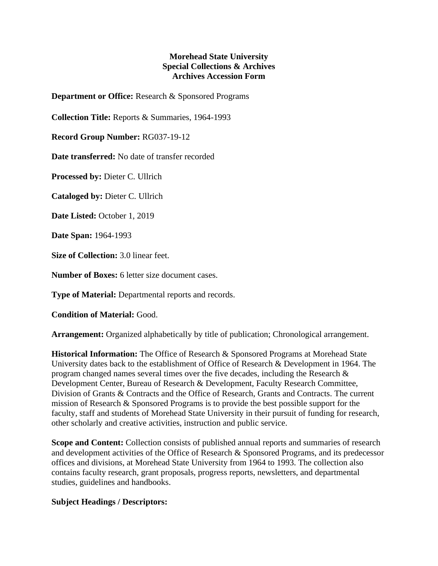## **Morehead State University Special Collections & Archives Archives Accession Form**

**Department or Office:** Research & Sponsored Programs

**Collection Title:** Reports & Summaries, 1964-1993

**Record Group Number:** RG037-19-12

**Date transferred:** No date of transfer recorded

**Processed by:** Dieter C. Ullrich

**Cataloged by:** Dieter C. Ullrich

**Date Listed:** October 1, 2019

**Date Span:** 1964-1993

**Size of Collection:** 3.0 linear feet.

**Number of Boxes:** 6 letter size document cases.

**Type of Material:** Departmental reports and records.

**Condition of Material:** Good.

**Arrangement:** Organized alphabetically by title of publication; Chronological arrangement.

**Historical Information:** The Office of Research & Sponsored Programs at Morehead State University dates back to the establishment of Office of Research & Development in 1964. The program changed names several times over the five decades, including the Research & Development Center, Bureau of Research & Development, Faculty Research Committee, Division of Grants & Contracts and the Office of Research, Grants and Contracts. The current mission of Research & Sponsored Programs is to provide the best possible support for the faculty, staff and students of Morehead State University in their pursuit of funding for research, other scholarly and creative activities, instruction and public service.

**Scope and Content:** Collection consists of published annual reports and summaries of research and development activities of the Office of Research & Sponsored Programs, and its predecessor offices and divisions, at Morehead State University from 1964 to 1993. The collection also contains faculty research, grant proposals, progress reports, newsletters, and departmental studies, guidelines and handbooks.

## **Subject Headings / Descriptors:**